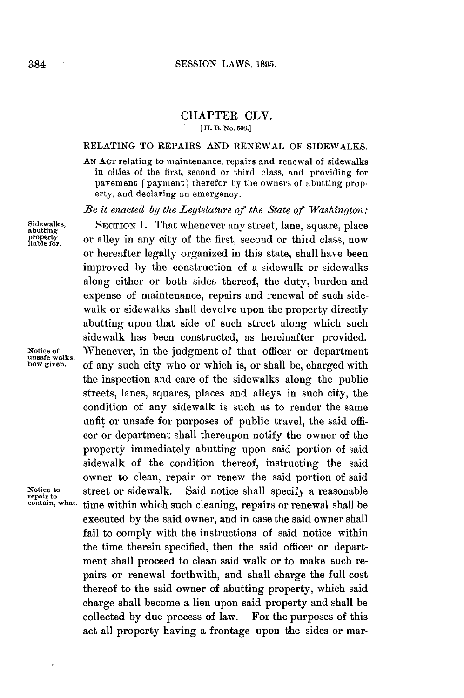## CHAPTER CLV. **[ H. B. No. 508.]**

## **RELATING** TO REPAIRS **AND** RENEWAL OF SIDEWALKS.

**AN ACT** relating to maintenance, repairs and renewal of sidewalks in cities of the first, second or third class, and providing for pavement [payment] therefor **by** the owners of abutting property, and declaring an emergency.

*Be it enacted by the Legislature of the State of Washington:*

**Sidewalks, SECTION 1.** That whenever any street, lane, square, place **abutting** or alley in any city of the first, second or third class, now or hereafter legally organized in this state, shall have been improved **by** the construction of a sidewalk or sidewalks along either or both sides thereof, the duty, burden and expense of maintenance, repairs and renewal of such sidewalk or sidewalks shall devolve upon the property directly abutting upon that side of such street along which such sidewalk has been constructed, as hereinafter provided. Notice of **Whenever**, in the judgment of that officer or department unsafe walks, of any such city who or which is, or shall be, charged with of any such city who or which is, or shall be, charged with the inspection and care of the sidewalks along the public streets, lanes, squares, places and alleys in such city, the condition of any sidewalk is such as to render the same unfit or unsafe for purposes of public travel, the said officer or department shall thereupon notify the owner of the property immediately abutting upon said portion of said sidewalk of the condition thereof, instructing the said owner to clean, repair or renew the said portion of said Notice to street or sidewalk. Said notice shall specify a reasonable repair to street or sidewalk. Said notice shall specify a reasonable contain, what time within which such cleaning repairs or repeated shall be time within which such cleaning, repairs or renewal shall be executed **by** the said owner, and in case the said owner shall fail to comply with the instructions of said notice within the time therein specified, then the said officer or department shall proceed to clean said walk or to make such repairs or renewal forthwith, and shall charge the full cost thereof to the said owner of abutting property, which said charge shall become a lien upon said property and shall be collected **by** due process of law. For the purposes of this act all property having a frontage upon the sides or mar-

**property liable for.**